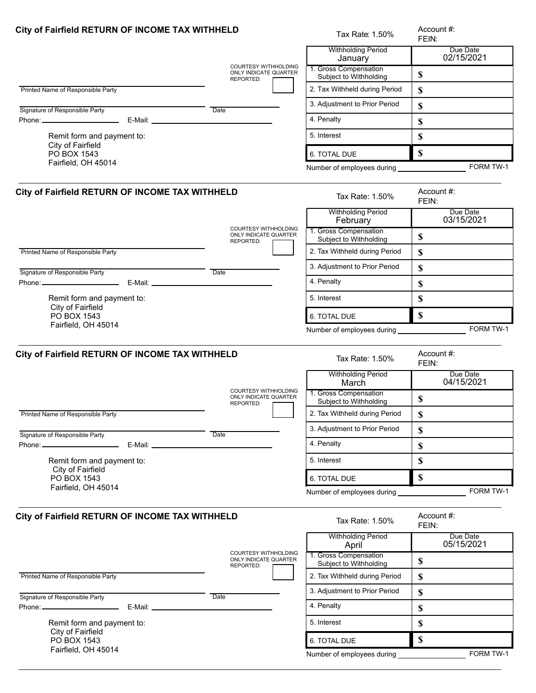| City of Fairfield RETURN OF INCOME TAX WITHHELD |                                                      | Tax Rate: 1.50%                                                | Account #:<br>FEIN:       |
|-------------------------------------------------|------------------------------------------------------|----------------------------------------------------------------|---------------------------|
|                                                 | <b>COURTESY WITHHOLDING</b>                          | <b>Withholding Period</b><br>January                           | Due Date<br>02/15/2021    |
|                                                 | ONLY INDICATE QUARTER<br>REPORTED:                   | 1. Gross Compensation<br>Subject to Withholding                | \$                        |
| Printed Name of Responsible Party               |                                                      | 2. Tax Withheld during Period                                  | \$                        |
| Signature of Responsible Party                  | Date                                                 | 3. Adjustment to Prior Period                                  | \$                        |
|                                                 |                                                      | 4. Penalty                                                     | \$                        |
| Remit form and payment to:                      |                                                      | 5. Interest                                                    | \$                        |
| City of Fairfield<br>PO BOX 1543                |                                                      | 6. TOTAL DUE                                                   | $\mathbf S$               |
| Fairfield, OH 45014                             |                                                      | Number of employees during                                     | FORM TW-1                 |
|                                                 |                                                      |                                                                |                           |
| City of Fairfield RETURN OF INCOME TAX WITHHELD |                                                      | Tax Rate: 1.50%                                                | Account #:<br>FEIN:       |
|                                                 | <b>COURTESY WITHHOLDING</b>                          | <b>Withholding Period</b><br>February<br>1. Gross Compensation | Due Date<br>03/15/2021    |
|                                                 | <b>ONLY INDICATE QUARTER</b><br>REPORTED:            | Subject to Withholding                                         | \$                        |
| Printed Name of Responsible Party               |                                                      | 2. Tax Withheld during Period                                  | \$                        |
| Signature of Responsible Party                  | Date                                                 | 3. Adjustment to Prior Period                                  | \$                        |
|                                                 |                                                      | 4. Penalty                                                     | \$                        |
| Remit form and payment to:                      |                                                      | 5. Interest                                                    | \$                        |
| City of Fairfield<br>PO BOX 1543                |                                                      | 6. TOTAL DUE                                                   | $\mathbf S$               |
| Fairfield, OH 45014                             |                                                      | Number of employees during __________                          | FORM TW-1                 |
| City of Fairfield RETURN OF INCOME TAX WITHHELD |                                                      | Tax Rate: 1.50%                                                | Account #:<br>FEIN:       |
|                                                 | <b>COURTESY WITHHOLDING</b>                          | <b>Withholding Period</b><br>March                             | Due Date<br>04/15/2021    |
|                                                 | ONLY INDICATE QUARTER<br>REPORTED:                   | 1. Gross Compensation<br>Subject to Withholding                | \$                        |
| Printed Name of Responsible Party               |                                                      | 2. Tax Withheld during Period                                  | \$                        |
| Signature of Responsible Party                  | Date                                                 | 3. Adjustment to Prior Period                                  | \$                        |
| Phone: _______________________                  |                                                      | 4. Penalty                                                     | \$                        |
| Remit form and payment to:                      |                                                      | 5. Interest                                                    | \$                        |
| City of Fairfield<br>PO BOX 1543                |                                                      | <b>6. TOTAL DUE</b>                                            | $\boldsymbol{\mathsf{S}}$ |
| Fairfield, OH 45014                             |                                                      |                                                                | FORM TW-1                 |
| City of Fairfield RETURN OF INCOME TAX WITHHELD | Tax Rate: 1.50%                                      | Account #:<br>FEIN:                                            |                           |
|                                                 |                                                      | <b>Withholding Period</b><br>April                             | Due Date<br>05/15/2021    |
|                                                 | <b>COURTESY WITHHOLDING</b><br>ONLY INDICATE QUARTER | 1. Gross Compensation<br>Subject to Withholding                | \$                        |
| Printed Name of Responsible Party               | REPORTED:                                            | 2. Tax Withheld during Period                                  | \$                        |
|                                                 |                                                      | 3. Adjustment to Prior Period                                  | \$                        |
| Signature of Responsible Party                  | Date                                                 | 4. Penalty                                                     | \$                        |
| Remit form and payment to:                      |                                                      | 5. Interest                                                    | \$                        |
| City of Fairfield                               |                                                      |                                                                |                           |
| PO BOX 1543<br>Fairfield, OH 45014              |                                                      | 6. TOTAL DUE                                                   | \$                        |
|                                                 |                                                      | Number of employees during                                     | FORM TW-1                 |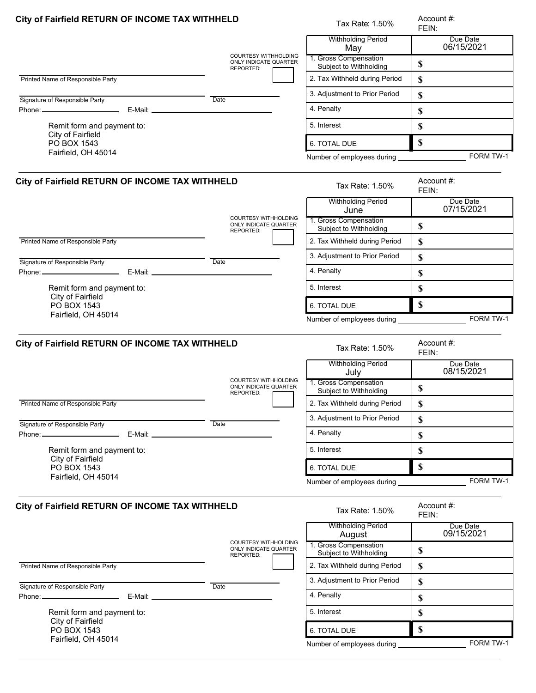| City of Fairfield RETURN OF INCOME TAX WITHHELD                                                                                                                                                                              |                                                                   | Tax Rate: 1.50%                                 | Account #:<br>FEIN:       |
|------------------------------------------------------------------------------------------------------------------------------------------------------------------------------------------------------------------------------|-------------------------------------------------------------------|-------------------------------------------------|---------------------------|
|                                                                                                                                                                                                                              | <b>COURTESY WITHHOLDING</b>                                       | <b>Withholding Period</b><br>May                | Due Date<br>06/15/2021    |
|                                                                                                                                                                                                                              | ONLY INDICATE QUARTER<br>REPORTED:                                | 1. Gross Compensation<br>Subject to Withholding | \$                        |
| Printed Name of Responsible Party                                                                                                                                                                                            |                                                                   | 2. Tax Withheld during Period                   | \$                        |
|                                                                                                                                                                                                                              | Date                                                              | 3. Adjustment to Prior Period                   | \$                        |
| Signature of Responsible Party<br>Phone: <b>E-Mail: E-Mail: E-Mail: E-Mail: E-Mail: E-Mail: E-Mail: E-Mail: E-Mail: E-Mail: E-Mail: E-Mail: E-Mail: E-Mail: E-Mail: E-Mail: E-Mail: E-Mail: E-Mail: E-Mail: E-Mail: E-Ma</b> |                                                                   | 4. Penalty                                      | \$                        |
| Remit form and payment to:                                                                                                                                                                                                   |                                                                   | 5. Interest                                     | \$                        |
| City of Fairfield                                                                                                                                                                                                            |                                                                   |                                                 |                           |
| PO BOX 1543<br>Fairfield, OH 45014                                                                                                                                                                                           |                                                                   | 6. TOTAL DUE                                    | \$                        |
|                                                                                                                                                                                                                              |                                                                   | Number of employees during _________            | FORM TW-1                 |
| City of Fairfield RETURN OF INCOME TAX WITHHELD                                                                                                                                                                              |                                                                   | Tax Rate: 1.50%                                 | Account #:<br>FEIN:       |
|                                                                                                                                                                                                                              | <b>COURTESY WITHHOLDING</b>                                       | <b>Withholding Period</b><br>June               | Due Date<br>07/15/2021    |
|                                                                                                                                                                                                                              | ONLY INDICATE QUARTER<br>REPORTED:                                | 1. Gross Compensation<br>Subject to Withholding | \$                        |
| Printed Name of Responsible Party                                                                                                                                                                                            |                                                                   | 2. Tax Withheld during Period                   | \$                        |
| Signature of Responsible Party                                                                                                                                                                                               | Date                                                              | 3. Adjustment to Prior Period                   | \$                        |
|                                                                                                                                                                                                                              |                                                                   | 4. Penalty                                      | \$                        |
| Remit form and payment to:                                                                                                                                                                                                   |                                                                   | 5. Interest                                     | \$                        |
| City of Fairfield<br>PO BOX 1543                                                                                                                                                                                             |                                                                   | 6. TOTAL DUE                                    | $\mathbf S$               |
| Fairfield, OH 45014                                                                                                                                                                                                          |                                                                   | Number of employees during _______________      | FORM TW-1                 |
| City of Fairfield RETURN OF INCOME TAX WITHHELD                                                                                                                                                                              |                                                                   | Tax Rate: 1.50%                                 | Account #:<br>FEIN:       |
|                                                                                                                                                                                                                              | COURTESY WITHHOLDING                                              | <b>Withholding Period</b><br>July               | Due Date<br>08/15/2021    |
|                                                                                                                                                                                                                              | ONLY INDICATE QUARTER<br>REPORTED:                                | 1. Gross Compensation<br>Subject to Withholding | \$                        |
| Printed Name of Responsible Party                                                                                                                                                                                            |                                                                   | 2. Tax Withheld during Period                   | \$                        |
| Signature of Responsible Party                                                                                                                                                                                               | Date                                                              | 3. Adjustment to Prior Period                   | \$                        |
|                                                                                                                                                                                                                              |                                                                   | 4. Penalty                                      | $\boldsymbol{\mathsf{S}}$ |
| Remit form and payment to:                                                                                                                                                                                                   |                                                                   | 5. Interest                                     | \$                        |
| City of Fairfield<br>PO BOX 1543                                                                                                                                                                                             |                                                                   | 6. TOTAL DUE                                    | $\mathbf S$               |
| Fairfield, OH 45014                                                                                                                                                                                                          |                                                                   | Number of employees during                      | FORM TW-1                 |
| City of Fairfield RETURN OF INCOME TAX WITHHELD                                                                                                                                                                              |                                                                   | Tax Rate: 1.50%                                 | Account #:<br>FEIN:       |
|                                                                                                                                                                                                                              |                                                                   | <b>Withholding Period</b><br>August             | Due Date<br>09/15/2021    |
|                                                                                                                                                                                                                              | <b>COURTESY WITHHOLDING</b><br>ONLY INDICATE QUARTER<br>REPORTED: | 1. Gross Compensation<br>Subject to Withholding | $\mathbb S$               |
| Printed Name of Responsible Party                                                                                                                                                                                            |                                                                   | 2. Tax Withheld during Period                   | \$                        |
| Signature of Responsible Party                                                                                                                                                                                               | Date                                                              | 3. Adjustment to Prior Period                   | \$                        |
|                                                                                                                                                                                                                              |                                                                   | 4. Penalty                                      | \$                        |
| Remit form and payment to:                                                                                                                                                                                                   |                                                                   | 5. Interest                                     | \$                        |
| City of Fairfield<br>PO BOX 1543                                                                                                                                                                                             |                                                                   | 6. TOTAL DUE                                    | $\boldsymbol{\mathsf{S}}$ |
| Fairfield, OH 45014                                                                                                                                                                                                          |                                                                   | Number of employees during                      | FORM TW-1                 |